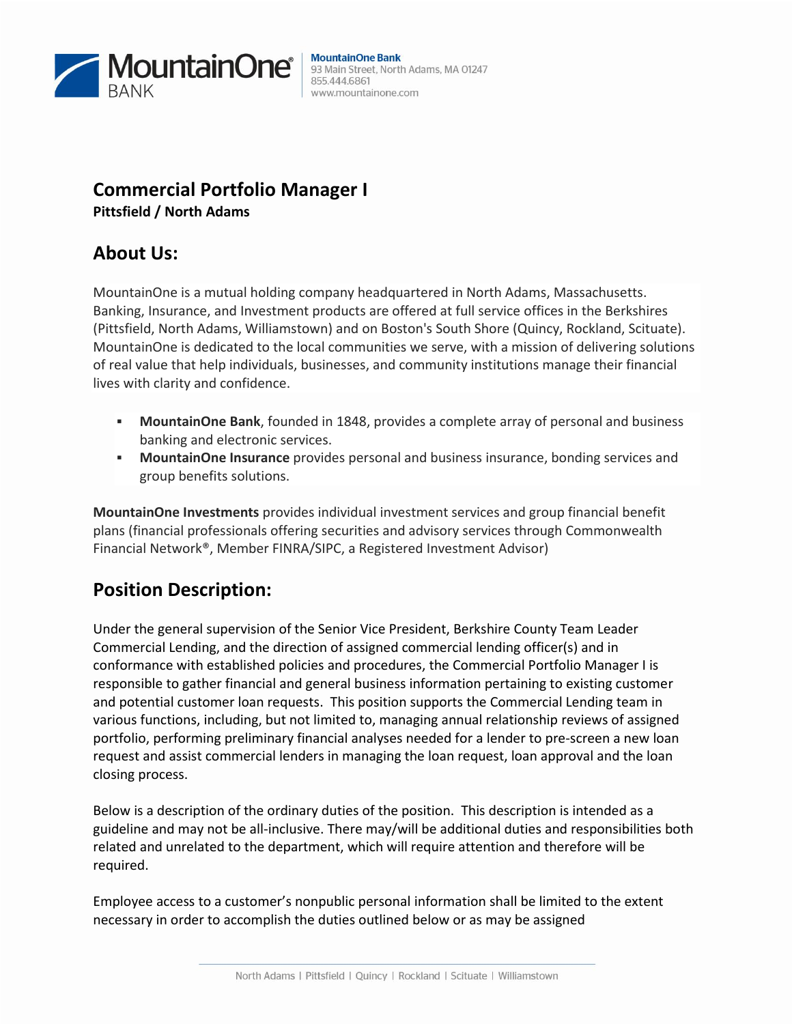

#### **MountainOne Bank** 93 Main Street, North Adams, MA 01247 855.444.6861 www.mountainone.com

### **Commercial Portfolio Manager I Pittsfield / North Adams**

# **About Us:**

MountainOne is a mutual holding company headquartered in North Adams, Massachusetts. Banking, Insurance, and Investment products are offered at full service offices in the Berkshires (Pittsfield, North Adams, Williamstown) and on Boston's South Shore (Quincy, Rockland, Scituate). MountainOne is dedicated to the local communities we serve, with a mission of delivering solutions of real value that help individuals, businesses, and community institutions manage their financial lives with clarity and confidence.

- **MountainOne Bank**, founded in 1848, provides a complete array of personal and business banking and electronic services.
- **MountainOne Insurance** provides personal and business insurance, bonding services and group benefits solutions.

**MountainOne Investments** provides individual investment services and group financial benefit plans (financial professionals offering securities and advisory services through Commonwealth Financial Network®, Member FINRA/SIPC, a Registered Investment Advisor)

# **Position Description:**

Under the general supervision of the Senior Vice President, Berkshire County Team Leader Commercial Lending, and the direction of assigned commercial lending officer(s) and in conformance with established policies and procedures, the Commercial Portfolio Manager I is responsible to gather financial and general business information pertaining to existing customer and potential customer loan requests. This position supports the Commercial Lending team in various functions, including, but not limited to, managing annual relationship reviews of assigned portfolio, performing preliminary financial analyses needed for a lender to pre-screen a new loan request and assist commercial lenders in managing the loan request, loan approval and the loan closing process.

Below is a description of the ordinary duties of the position. This description is intended as a guideline and may not be all-inclusive. There may/will be additional duties and responsibilities both related and unrelated to the department, which will require attention and therefore will be required.

Employee access to a customer's nonpublic personal information shall be limited to the extent necessary in order to accomplish the duties outlined below or as may be assigned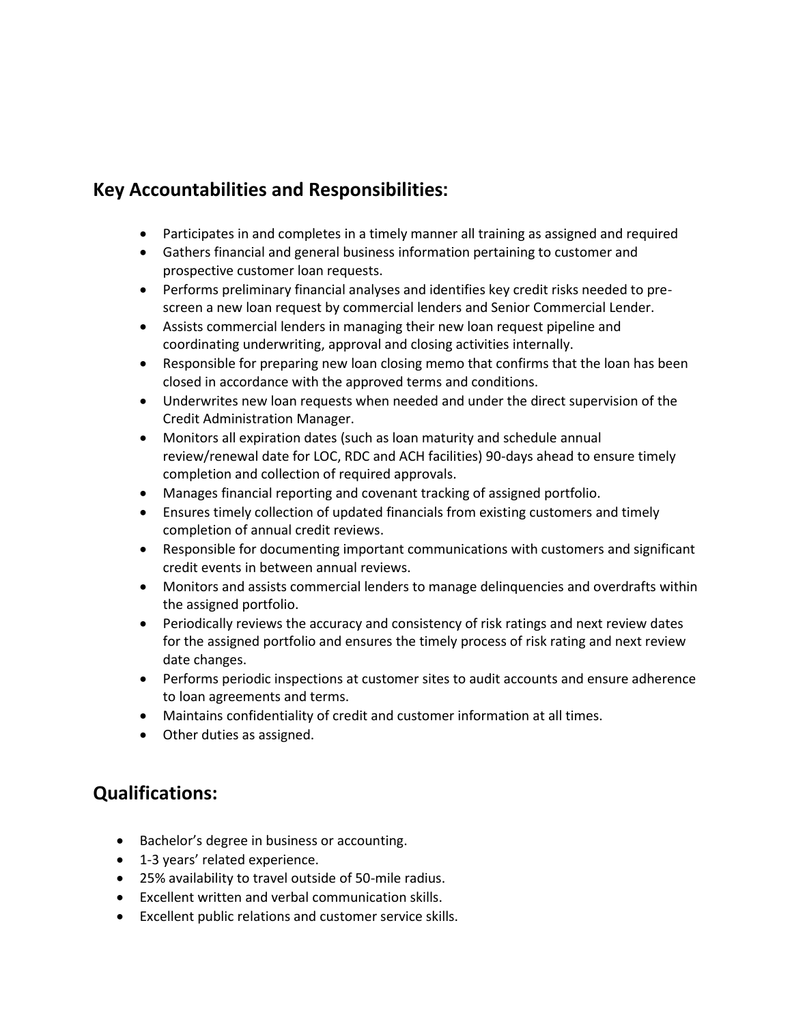# **Key Accountabilities and Responsibilities**:

- Participates in and completes in a timely manner all training as assigned and required
- Gathers financial and general business information pertaining to customer and prospective customer loan requests.
- Performs preliminary financial analyses and identifies key credit risks needed to prescreen a new loan request by commercial lenders and Senior Commercial Lender.
- Assists commercial lenders in managing their new loan request pipeline and coordinating underwriting, approval and closing activities internally.
- Responsible for preparing new loan closing memo that confirms that the loan has been closed in accordance with the approved terms and conditions.
- Underwrites new loan requests when needed and under the direct supervision of the Credit Administration Manager.
- Monitors all expiration dates (such as loan maturity and schedule annual review/renewal date for LOC, RDC and ACH facilities) 90-days ahead to ensure timely completion and collection of required approvals.
- Manages financial reporting and covenant tracking of assigned portfolio.
- Ensures timely collection of updated financials from existing customers and timely completion of annual credit reviews.
- Responsible for documenting important communications with customers and significant credit events in between annual reviews.
- Monitors and assists commercial lenders to manage delinquencies and overdrafts within the assigned portfolio.
- Periodically reviews the accuracy and consistency of risk ratings and next review dates for the assigned portfolio and ensures the timely process of risk rating and next review date changes.
- Performs periodic inspections at customer sites to audit accounts and ensure adherence to loan agreements and terms.
- Maintains confidentiality of credit and customer information at all times.
- Other duties as assigned.

## **Qualifications:**

- Bachelor's degree in business or accounting.
- 1-3 years' related experience.
- 25% availability to travel outside of 50-mile radius.
- Excellent written and verbal communication skills.
- Excellent public relations and customer service skills.